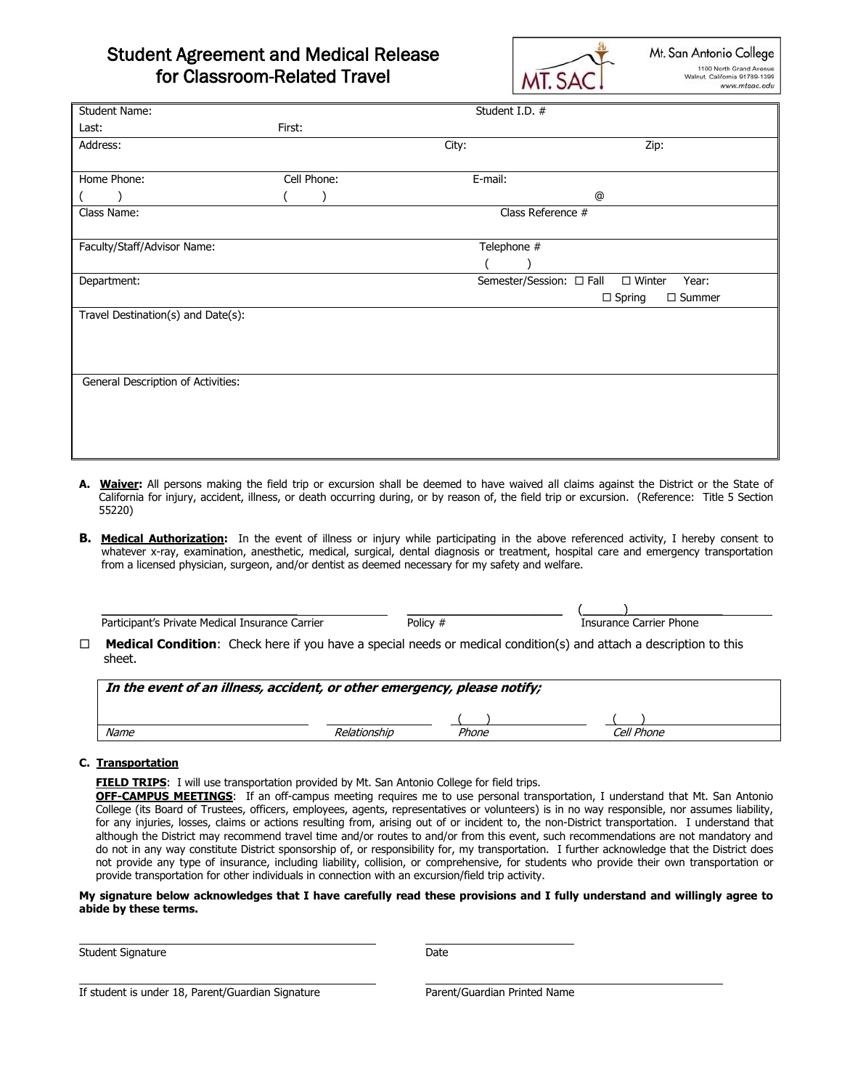

| <b>Student Name:</b>               |                   | Student I.D. #           |                                |  |
|------------------------------------|-------------------|--------------------------|--------------------------------|--|
| Last:                              | First:            |                          |                                |  |
| Address:                           |                   | City:                    | Zip:                           |  |
|                                    |                   |                          |                                |  |
| Home Phone:                        | Cell Phone:       | E-mail:                  |                                |  |
|                                    |                   |                          | $^\copyright$                  |  |
| Class Name:                        | Class Reference # |                          |                                |  |
|                                    |                   |                          |                                |  |
| Faculty/Staff/Advisor Name:        |                   | Telephone #              |                                |  |
|                                    |                   |                          |                                |  |
| Department:                        |                   | Semester/Session: □ Fall | Year:<br>$\Box$ Winter         |  |
|                                    |                   |                          | $\Box$ Summer<br>$\Box$ Spring |  |
| Travel Destination(s) and Date(s): |                   |                          |                                |  |
|                                    |                   |                          |                                |  |
|                                    |                   |                          |                                |  |
|                                    |                   |                          |                                |  |
| General Description of Activities: |                   |                          |                                |  |
|                                    |                   |                          |                                |  |
|                                    |                   |                          |                                |  |
|                                    |                   |                          |                                |  |
|                                    |                   |                          |                                |  |

- **A. Waiver:** All persons making the field trip or excursion shall be deemed to have waived all claims against the District or the State of California for injury, accident, illness, or death occurring during, or by reason of, the field trip or excursion. (Reference: Title 5 Section 55220)
- B. Medical Authorization: In the event of illness or injury while participating in the above referenced activity, I hereby consent to whatever x-ray, examination, anesthetic, medical, surgical, dental diagnosis or treatment, hospital care and emergency transportation from a licensed physician, surgeon, and/or dentist as deemed necessary for my safety and welfare.

| Participant's Private Medical Insurance Carrier                                                                    | Policy # |  | Insurance Carrier Phone |  |
|--------------------------------------------------------------------------------------------------------------------|----------|--|-------------------------|--|
| Medical Condition: Check here if you have a special needs or medical condition(s) and attach a description to this |          |  |                         |  |

| 51 ICCL.                                                                 |
|--------------------------------------------------------------------------|
| In the event of an illness, accident, or other emergency, please notify; |

| Name | tionship | Phone | Phone<br>Cell |
|------|----------|-------|---------------|

## **C. Transportation**

sheet.

**FIELD TRIPS**: I will use transportation provided by Mt. San Antonio College for field trips.

 **OFF-CAMPUS MEETINGS**: If an off-campus meeting requires me to use personal transportation, I understand that Mt. San Antonio College (its Board of Trustees, officers, employees, agents, representatives or volunteers) is in no way responsible, nor assumes liability, for any injuries, losses, claims or actions resulting from, arising out of or incident to, the non-District transportation. I understand that although the District may recommend travel time and/or routes to and/or from this event, such recommendations are not mandatory and do not in any way constitute District sponsorship of, or responsibility for, my transportation. I further acknowledge that the District does not provide any type of insurance, including liability, collision, or comprehensive, for students who provide their own transportation or provide transportation for other individuals in connection with an excursion/field trip activity.

## **My signature below acknowledges that I have carefully read these provisions and I fully understand and willingly agree to abide by these terms.**

Student Signature Date

If student is under 18, Parent/Guardian Signature Parent/Guardian Printed Name